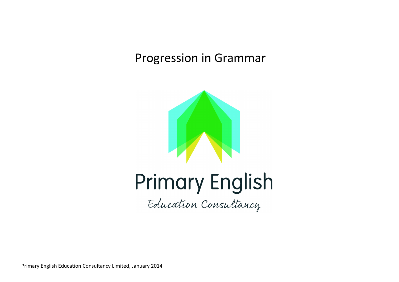# Progression in Grammar



# Primary English

Education Consultancy

Primary English Education Consultancy Limited, January 2014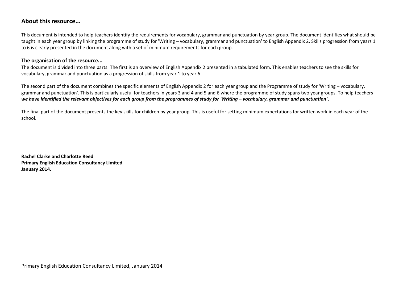### **About this resource...**

This document is intended to help teachers identify the requirements for vocabulary, grammar and punctuation by year group. The document identifies what should be taught in each year group by linking the programme of study for 'Writing – vocabulary, grammar and punctuation' to English Appendix 2. Skills progression from years 1 to 6 is clearly presented in the document along with a set of minimum requirements for each group.

#### **The organisation of the resource...**

The document is divided into three parts. The first is an overview of English Appendix 2 presented in a tabulated form. This enables teachers to see the skills for vocabulary, grammar and punctuation as a progression of skills from year 1 to year 6

The second part of the document combines the specific elements of English Appendix 2 for each year group and the Programme of study for 'Writing – vocabulary, grammar and punctuation'. This is particularly useful for teachers in years 3 and 4 and 5 and 6 where the programme of study spans two year groups. To help teachers *we have identified the relevant objectives for each group from the programmes of study for 'Writing – vocabulary, grammar and punctuation'*.

The final part of the document presents the key skills for children by year group. This is useful for setting minimum expectations for written work in each year of the school.

**Rachel Clarke and Charlotte Reed Primary English Education Consultancy Limited January 2014.**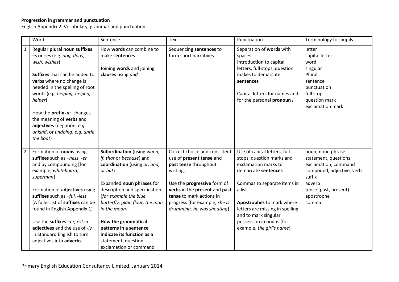#### **Progression in grammar and punctuation**

English Appendix 2: Vocabulary, grammar and punctuation

|                | Word                                                                                                                                                                                                                                                                                                                                                                                     | Sentence                                                                                                                                                                                                                                                                                                                                                                     | Text                                                                                                                                                                                                                                                             | Punctuation                                                                                                                                                                                                                                                                                        | Terminology for pupils                                                                                                                                             |
|----------------|------------------------------------------------------------------------------------------------------------------------------------------------------------------------------------------------------------------------------------------------------------------------------------------------------------------------------------------------------------------------------------------|------------------------------------------------------------------------------------------------------------------------------------------------------------------------------------------------------------------------------------------------------------------------------------------------------------------------------------------------------------------------------|------------------------------------------------------------------------------------------------------------------------------------------------------------------------------------------------------------------------------------------------------------------|----------------------------------------------------------------------------------------------------------------------------------------------------------------------------------------------------------------------------------------------------------------------------------------------------|--------------------------------------------------------------------------------------------------------------------------------------------------------------------|
| $\mathbf{1}$   | Regular plural noun suffixes<br>$-$ s or $-$ es (e.g. dog, dogs;<br>wish, wishes)<br>Suffixes that can be added to<br>verbs where no change is<br>needed in the spelling of root<br>words (e.g. helping, helped,<br>helper)<br>How the prefix un- changes<br>the meaning of verbs and<br>adjectives (negation, e.g.<br>unkind, or undoing, e.g. untie<br>the boat)                       | How words can combine to<br>make sentences<br>Joining words and joining<br>clauses using and                                                                                                                                                                                                                                                                                 | Sequencing sentences to<br>form short narratives                                                                                                                                                                                                                 | Separation of words with<br>spaces<br>Introduction to capital<br>letters, full stops, question<br>makes to demarcate<br>sentences<br>Capital letters for names and<br>for the personal pronoun /                                                                                                   | letter<br>capital letter<br>word<br>singular<br>Plural<br>sentence<br>punctuation<br>full stop<br>question mark<br>exclamation mark                                |
| $\overline{2}$ | Formation of nouns using<br>suffixes such as -ness, -er<br>and by compounding [for<br>example, whiteboard,<br>superman]<br>Formation of adjectives using<br>suffixes such as -ful, -less<br>(A fuller list of suffixes can be<br>found in English Appendix 1)<br>Use the suffixes -er, est in<br>adjectives and the use of -ly<br>in Standard English to turn<br>adjectives into adverbs | Subordination (using when,<br>if, that or because) and<br>coordination (using or, and,<br>or but)<br>Expanded noun phrases for<br>description and specification<br>[for example the blue<br>butterfly, plain flour, the man<br>in the moon]<br>How the grammatical<br>patterns in a sentence<br>indicate its function as a<br>statement, question,<br>exclamation or command | Correct choice and consistent<br>use of present tense and<br>past tense throughout<br>writing.<br>Use the <b>progressive</b> form of<br>verbs in the present and past<br>tense to mark actions in<br>progress [for example, she is<br>drumming, he was shouting] | Use of capital letters, full<br>stops, question marks and<br>exclamation marks to<br>demarcate sentences<br>Commas to separate items in<br>a list<br>Apostrophes to mark where<br>letters are missing in spelling<br>and to mark singular<br>possession in nouns [for<br>example, the girl's name] | noun, noun phrase<br>statement, questions<br>exclamation, command<br>compound, adjective, verb<br>suffix<br>adverb<br>tense (past, present)<br>apostrophe<br>comma |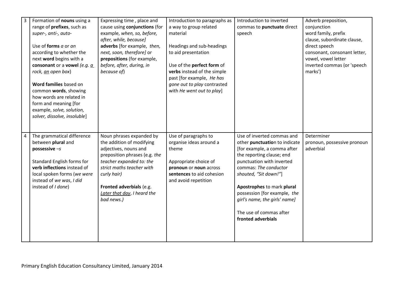| $\overline{3}$ | Formation of nouns using a<br>range of prefixes, such as<br>super-, anti-, auto-<br>Use of forms a or an<br>according to whether the<br>next word begins with a<br>consonant or a vowel (e.g. $a$<br>rock, an open box)<br>Word families based on<br>common words, showing<br>how words are related in<br>form and meaning [for<br>example, solve, solution,<br>solver, dissolve, insoluble] | Expressing time, place and<br>cause using conjunctions (for<br>example, when, so, before,<br>after, while, because]<br>adverbs [for example, then,<br>next, soon, therefore] or<br>prepositions (for example,<br>before, after, during, in<br>because of)        | Introduction to paragraphs as<br>a way to group related<br>material<br>Headings and sub-headings<br>to aid presentation<br>Use of the perfect form of<br>verbs instead of the simple<br>past [for example, He has<br>gone out to play contrasted<br>with He went out to play] | Introduction to inverted<br>commas to punctuate direct<br>speech                                                                                                                                                                                                                                                                                       | Adverb preposition,<br>conjunction<br>word family, prefix<br>clause, subordinate clause,<br>direct speech<br>consonant, consonant letter,<br>vowel, vowel letter<br>inverted commas (or 'speech<br>marks') |
|----------------|----------------------------------------------------------------------------------------------------------------------------------------------------------------------------------------------------------------------------------------------------------------------------------------------------------------------------------------------------------------------------------------------|------------------------------------------------------------------------------------------------------------------------------------------------------------------------------------------------------------------------------------------------------------------|-------------------------------------------------------------------------------------------------------------------------------------------------------------------------------------------------------------------------------------------------------------------------------|--------------------------------------------------------------------------------------------------------------------------------------------------------------------------------------------------------------------------------------------------------------------------------------------------------------------------------------------------------|------------------------------------------------------------------------------------------------------------------------------------------------------------------------------------------------------------|
| 4              | The grammatical difference<br>between plural and<br>possessive $-s$<br>Standard English forms for<br>verb inflections instead of<br>local spoken forms (we were<br>instead of we was, I did<br>instead of I done)                                                                                                                                                                            | Noun phrases expanded by<br>the addition of modifying<br>adjectives, nouns and<br>preposition phrases (e.g. the<br>teacher expanded to: the<br>strict maths teacher with<br>curly hair)<br>Fronted adverbials (e.g.<br>Later that day, I heard the<br>bad news.) | Use of paragraphs to<br>organise ideas around a<br>theme<br>Appropriate choice of<br>pronoun or noun across<br>sentences to aid cohesion<br>and avoid repetition                                                                                                              | Use of inverted commas and<br>other punctuation to indicate<br>[for example, a comma after<br>the reporting clause; end<br>punctuation with inverted<br>commas: The conductor<br>shouted, "Sit down!"]<br>Apostrophes to mark plural<br>possession [for example, the<br>girl's name, the girls' name]<br>The use of commas after<br>fronted adverbials | Determiner<br>pronoun, possessive pronoun<br>adverbial                                                                                                                                                     |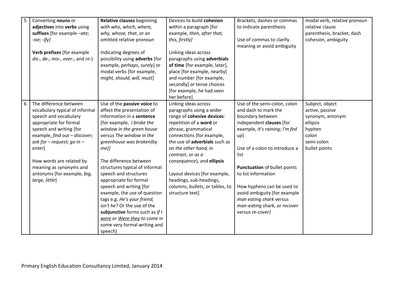| 5 | Converting nouns or              | Relative clauses beginning       | Devices to build cohesion       | Brackets, dashes or commas     | modal verb, relative pronoun |
|---|----------------------------------|----------------------------------|---------------------------------|--------------------------------|------------------------------|
|   | adjectives into verbs using      | with who, which, where,          | within a paragraph [for         | to indicate parenthesis        | relative clause              |
|   | suffixes [for example -ate;      | why, whose, that, or an          | example, then, after that,      |                                | parenthesis, bracket, dash   |
|   | $-ise; -ify]$                    | omitted relative pronoun         | this, firstly]                  | Use of commas to clarify       | cohesion, ambiguity          |
|   |                                  |                                  |                                 | meaning or avoid ambiguity     |                              |
|   | Verb prefixes [for example       | Indicating degrees of            | Linking ideas across            |                                |                              |
|   | dis-, de-, mis-, over-, and re-) | possibility using adverbs [for   | paragraphs using adverbials     |                                |                              |
|   |                                  | example, perhaps, surely] or     | of time [for example, later],   |                                |                              |
|   |                                  | modal verbs [for example,        | place [for example, nearby]     |                                |                              |
|   |                                  | might, should, will, must]       | and number [for example,        |                                |                              |
|   |                                  |                                  | secondly] or tense choices      |                                |                              |
|   |                                  |                                  | [for example, he had seen       |                                |                              |
|   |                                  |                                  | her before]                     |                                |                              |
| 6 | The difference between           | Use of the passive voice to      | Linking ideas across            | Use of the semi-colon, colon   | Subject, object              |
|   | vocabulary typical of informal   | affect the presentation of       | paragraphs using a wider        | and dash to mark the           | active, passive              |
|   | speech and vocabulary            | information in a sentence        | range of cohesive devices:      | boundary between               | synonym, antonym             |
|   | appropriate for formal           | [for example, <i>I broke the</i> | repetition of a word or         | independent clauses [for       | ellipsis                     |
|   | speech and writing [for          | window in the green house        | phrase, grammatical             | example, It's raining; I'm fed | hyphen                       |
|   | example, find out - discover;    | versus The window in the         | connections [for example,       | up]                            | colon                        |
|   | ask for $-$ request; go in $-$   | greenhouse was broken(by         | the use of adverbials such as   |                                | semi-colon                   |
|   | enter]                           | $me$ <i>)</i>                    | on the other hand, in           | Use of a colon to introduce a  | bullet points                |
|   |                                  |                                  | contrast, or as a               | list                           |                              |
|   | How words are related by         | The difference between           | consequence), and ellipsis      |                                |                              |
|   | meaning as synonyms and          | structures typical of informal   |                                 | Punctuation of bullet points   |                              |
|   | antonyms [for example, big,      | speech and structures            | Layout devices [for example,    | to list information            |                              |
|   | large, little]                   | appropriate for formal           | headings, sub-headings,         |                                |                              |
|   |                                  | speech and writing [for          | columns, bullets, or tables, to | How hyphens can be used to     |                              |
|   |                                  | example, the use of question     | structure text]                 | avoid ambiguity [for example   |                              |
|   |                                  | tags e.g. He's your friend,      |                                 | man eating shark versus        |                              |
|   |                                  | isn't he? Or the use of the      |                                 | man-eating shark, or recover   |                              |
|   |                                  | subjunctive forms such as If I   |                                 | versus re-cover]               |                              |
|   |                                  | were or Were they to come in     |                                 |                                |                              |
|   |                                  | some very formal writing and     |                                 |                                |                              |
|   |                                  | speech]                          |                                 |                                |                              |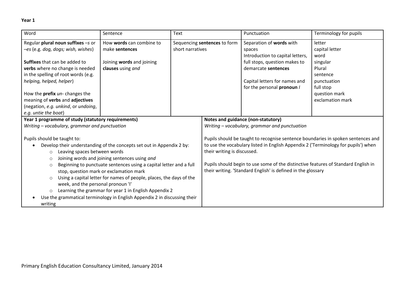| Word                                                                                                                                                                                                                                                                                                                                                                                                                                                                                                                                                                                                                                                                         | Sentence                                       | Text                                             |                                                                                     | Punctuation                                                                                                                                                                                                                                                                                                                  | Terminology for pupils                                                                                  |
|------------------------------------------------------------------------------------------------------------------------------------------------------------------------------------------------------------------------------------------------------------------------------------------------------------------------------------------------------------------------------------------------------------------------------------------------------------------------------------------------------------------------------------------------------------------------------------------------------------------------------------------------------------------------------|------------------------------------------------|--------------------------------------------------|-------------------------------------------------------------------------------------|------------------------------------------------------------------------------------------------------------------------------------------------------------------------------------------------------------------------------------------------------------------------------------------------------------------------------|---------------------------------------------------------------------------------------------------------|
| Regular plural noun suffixes -s or<br>-es (e.g. dog, dogs; wish, wishes)                                                                                                                                                                                                                                                                                                                                                                                                                                                                                                                                                                                                     | How words can combine to<br>make sentences     | Sequencing sentences to form<br>short narratives |                                                                                     | Separation of words with<br>spaces                                                                                                                                                                                                                                                                                           | letter<br>capital letter                                                                                |
| <b>Suffixes</b> that can be added to<br>verbs where no change is needed<br>in the spelling of root words (e.g.<br>helping, helped, helper)<br>How the <b>prefix</b> un- changes the<br>meaning of verbs and adjectives<br>(negation, e.g. unkind, or undoing,<br>e.g. untie the boat)                                                                                                                                                                                                                                                                                                                                                                                        | Joining words and joining<br>clauses using and |                                                  |                                                                                     | Introduction to capital letters,<br>full stops, question makes to<br>demarcate sentences<br>Capital letters for names and<br>for the personal pronoun /                                                                                                                                                                      | word<br>singular<br>Plural<br>sentence<br>punctuation<br>full stop<br>question mark<br>exclamation mark |
| Year 1 programme of study (statutory requirements)                                                                                                                                                                                                                                                                                                                                                                                                                                                                                                                                                                                                                           |                                                |                                                  | Notes and guidance (non-statutory)<br>Writing - vocabulary, grammar and punctuation |                                                                                                                                                                                                                                                                                                                              |                                                                                                         |
| Writing - vocabulary, grammar and punctuation<br>Pupils should be taught to:<br>Develop their understanding of the concepts set out in Appendix 2 by:<br>Leaving spaces between words<br>$\circ$<br>Joining words and joining sentences using and<br>$\circ$<br>Beginning to punctuate sentences using a capital letter and a full<br>$\circ$<br>stop, question mark or exclamation mark<br>Using a capital letter for names of people, places, the days of the<br>$\circ$<br>week, and the personal pronoun 'I'<br>Learning the grammar for year 1 in English Appendix 2<br>$\circ$<br>Use the grammatical terminology in English Appendix 2 in discussing their<br>writing |                                                |                                                  | their writing is discussed.                                                         | Pupils should be taught to recognise sentence boundaries in spoken sentences and<br>to use the vocabulary listed in English Appendix 2 ('Terminology for pupils') when<br>Pupils should begin to use some of the distinctive features of Standard English in<br>their writing. 'Standard English' is defined in the glossary |                                                                                                         |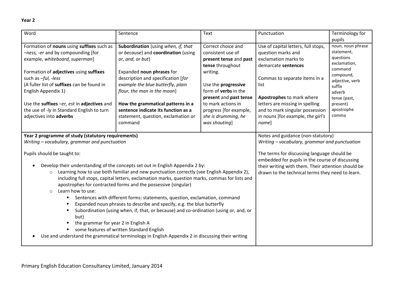| Word                                                                                                                                                                                                                                                                                                                                                                            | Sentence                                                                                                                                                                                                                                                                                                                                                                                                                                                                                                                                                                                                                                                                                                                                         | Text                                                                                                                                                                                                                                                                      | Punctuation                                                                                                                                                                                                                                                                                        | Terminology for<br>pupils                                                                                                                                                      |
|---------------------------------------------------------------------------------------------------------------------------------------------------------------------------------------------------------------------------------------------------------------------------------------------------------------------------------------------------------------------------------|--------------------------------------------------------------------------------------------------------------------------------------------------------------------------------------------------------------------------------------------------------------------------------------------------------------------------------------------------------------------------------------------------------------------------------------------------------------------------------------------------------------------------------------------------------------------------------------------------------------------------------------------------------------------------------------------------------------------------------------------------|---------------------------------------------------------------------------------------------------------------------------------------------------------------------------------------------------------------------------------------------------------------------------|----------------------------------------------------------------------------------------------------------------------------------------------------------------------------------------------------------------------------------------------------------------------------------------------------|--------------------------------------------------------------------------------------------------------------------------------------------------------------------------------|
| Formation of nouns using suffixes such as<br>-ness, -er and by compounding [for<br>example, whiteboard, superman]<br>Formation of adjectives using suffixes<br>such as -ful, -less<br>(A fuller list of suffixes can be found in<br>English Appendix 1)<br>Use the suffixes -er, est in adjectives and<br>the use of -/y in Standard English to turn<br>adjectives into adverbs | Subordination (using when, if, that<br>or because) and coordination (using<br>or, and, or but)<br>Expanded noun phrases for<br>description and specification [for<br>example the blue butterfly, plain<br>flour, the man in the moon]<br>How the grammatical patterns in a<br>sentence indicate its function as a<br>statement, question, exclamation or<br>command                                                                                                                                                                                                                                                                                                                                                                              | Correct choice and<br>consistent use of<br>present tense and past<br>tense throughout<br>writing.<br>Use the progressive<br>form of <b>verbs</b> in the<br>present and past tense<br>to mark actions in<br>progress [for example,<br>she is drumming, he<br>was shouting] | Use of capital letters, full stops,<br>question marks and<br>exclamation marks to<br>demarcate sentences<br>Commas to separate items in a<br>list<br>Apostrophes to mark where<br>letters are missing in spelling<br>and to mark singular possession<br>in nouns [for example, the girl's<br>name] | noun, noun phrase<br>statement,<br>questions<br>exclamation,<br>command<br>compound,<br>adjective, verb<br>suffix<br>adverb<br>tense (past,<br>present)<br>apostrophe<br>comma |
| Year 2 programme of study (statutory requirements)<br>Writing - vocabulary, grammar and punctuation                                                                                                                                                                                                                                                                             |                                                                                                                                                                                                                                                                                                                                                                                                                                                                                                                                                                                                                                                                                                                                                  | Notes and guidance (non-statutory)<br>Writing - vocabulary, grammar and punctuation                                                                                                                                                                                       |                                                                                                                                                                                                                                                                                                    |                                                                                                                                                                                |
| Pupils should be taught to:<br>$\bullet$<br>$\circ$<br>Learn how to use:<br>$\circ$<br>but)<br>the grammar for year 2 in English A                                                                                                                                                                                                                                              | Develop their understanding of the concepts set out in English Appendix 2 by:<br>Learning how to use both familiar and new punctuation correctly (see English Appendix 2),<br>including full stops, capital letters, exclamation marks, question marks, commas for lists and<br>apostrophes for contracted forms and the possessive (singular)<br>Sentences with different forms: statements, question, exclamation, command<br>Expanded noun phrases to describe and specify, e.g. the blue butterfly<br>Subordination (using when, if, that, or because) and co-ordination (using or, and, or<br>some features of written Standard English<br>Use and understand the grammatical terminology in English Appendix 2 in discussing their writing |                                                                                                                                                                                                                                                                           | The terms for discussing language should be<br>embedded for pupils in the course of discussing<br>their writing with them. Their attention should be<br>drawn to the technical terms they need to learn.                                                                                           |                                                                                                                                                                                |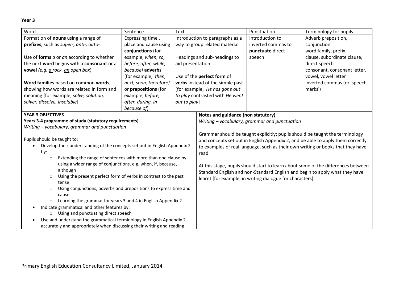**Year 3**

| Word<br>Text<br>Sentence                                                               |                        |                                 | Punctuation                                                                     | Terminology for pupils                                    |                                                                                   |
|----------------------------------------------------------------------------------------|------------------------|---------------------------------|---------------------------------------------------------------------------------|-----------------------------------------------------------|-----------------------------------------------------------------------------------|
| Formation of nouns using a range of                                                    | Expressing time,       | Introduction to paragraphs as a |                                                                                 | Introduction to                                           | Adverb preposition,                                                               |
| prefixes, such as super-, anti-, auto-                                                 | place and cause using  |                                 | way to group related material                                                   | inverted commas to                                        | conjunction                                                                       |
|                                                                                        | conjunctions (for      |                                 |                                                                                 | punctuate direct                                          | word family, prefix                                                               |
| Use of forms a or an according to whether                                              | example, when, so,     |                                 | Headings and sub-headings to                                                    | speech                                                    | clause, subordinate clause,                                                       |
| the next word begins with a consonant or a                                             | before, after, while,  | aid presentation                |                                                                                 |                                                           | direct speech                                                                     |
| vowel (e.g. a rock, an open box)                                                       | because] adverbs       |                                 |                                                                                 |                                                           | consonant, consonant letter,                                                      |
|                                                                                        | [for example, then,    |                                 | Use of the perfect form of                                                      |                                                           | vowel, vowel letter                                                               |
| Word families based on common words,                                                   | next, soon, therefore] |                                 | verbs instead of the simple past                                                |                                                           | inverted commas (or 'speech                                                       |
| showing how words are related in form and                                              | or prepositions (for   |                                 | [for example, He has gone out                                                   |                                                           | marks')                                                                           |
| meaning [for example, solve, solution,                                                 | example, before,       |                                 | to play contrasted with He went                                                 |                                                           |                                                                                   |
| solver, dissolve, insoluble]                                                           | after, during, in      | out to play]                    |                                                                                 |                                                           |                                                                                   |
|                                                                                        | because of)            |                                 |                                                                                 |                                                           |                                                                                   |
| <b>YEAR 3 OBJECTIVES</b>                                                               |                        |                                 | Notes and guidance (non statutory)                                              |                                                           |                                                                                   |
| Years 3-4 programme of study (statutory requirements)                                  |                        |                                 | Writing - vocabulary, grammar and punctuation                                   |                                                           |                                                                                   |
| Writing - vocabulary, grammar and punctuation                                          |                        |                                 |                                                                                 |                                                           |                                                                                   |
|                                                                                        |                        |                                 | Grammar should be taught explicitly: pupils should be taught the terminology    |                                                           |                                                                                   |
| Pupils should be taught to:                                                            |                        |                                 | and concepts set out in English Appendix 2, and be able to apply them correctly |                                                           |                                                                                   |
| Develop their understanding of the concepts set out in English Appendix 2<br>$\bullet$ |                        |                                 | to examples of real language, such as their own writing or books that they have |                                                           |                                                                                   |
| by:                                                                                    |                        |                                 | read.                                                                           |                                                           |                                                                                   |
| Extending the range of sentences with more than one clause by<br>$\circ$               |                        |                                 |                                                                                 |                                                           |                                                                                   |
| using a wider range of conjunctions, e.g. when, if, because,                           |                        |                                 |                                                                                 |                                                           | At this stage, pupils should start to learn about some of the differences between |
| although                                                                               |                        |                                 |                                                                                 |                                                           | Standard English and non-Standard English and begin to apply what they have       |
| Using the present perfect form of verbs in contrast to the past<br>$\circ$             |                        |                                 |                                                                                 | learnt [for example, in writing dialogue for characters]. |                                                                                   |
| tense                                                                                  |                        |                                 |                                                                                 |                                                           |                                                                                   |
| Using conjunctions, adverbs and prepositions to express time and<br>$\circ$<br>cause   |                        |                                 |                                                                                 |                                                           |                                                                                   |
| Learning the grammar for years 3 and 4 in English Appendix 2<br>$\circ$                |                        |                                 |                                                                                 |                                                           |                                                                                   |
| Indicate grammatical and other features by:                                            |                        |                                 |                                                                                 |                                                           |                                                                                   |
| Using and punctuating direct speech<br>$\circ$                                         |                        |                                 |                                                                                 |                                                           |                                                                                   |
| Use and understand the grammatical terminology in English Appendix 2<br>$\bullet$      |                        |                                 |                                                                                 |                                                           |                                                                                   |
| accurately and appropriately when discussing their writing and reading                 |                        |                                 |                                                                                 |                                                           |                                                                                   |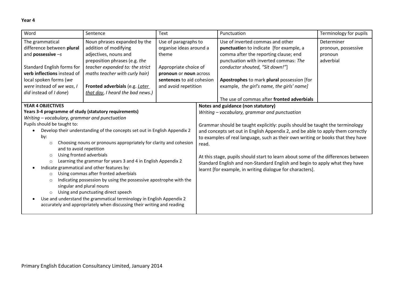| Word<br>Sentence<br>Text                                                                                                                                                                                                                                                                                                                                                                                                                                                                                                                                      |                                                                                                                                                                                                                                                            |                                                                                                                                                                  | Punctuation | Terminology for pupils                                                                                                                                                                                                                                                                                                                     |                                                           |
|---------------------------------------------------------------------------------------------------------------------------------------------------------------------------------------------------------------------------------------------------------------------------------------------------------------------------------------------------------------------------------------------------------------------------------------------------------------------------------------------------------------------------------------------------------------|------------------------------------------------------------------------------------------------------------------------------------------------------------------------------------------------------------------------------------------------------------|------------------------------------------------------------------------------------------------------------------------------------------------------------------|-------------|--------------------------------------------------------------------------------------------------------------------------------------------------------------------------------------------------------------------------------------------------------------------------------------------------------------------------------------------|-----------------------------------------------------------|
| The grammatical<br>difference between plural<br>and <b>possessive</b> $-s$<br>Standard English forms for<br><b>verb inflections</b> instead of<br>local spoken forms (we<br>were instead of we was, I<br>did instead of I done)                                                                                                                                                                                                                                                                                                                               | Noun phrases expanded by the<br>addition of modifying<br>adjectives, nouns and<br>preposition phrases (e.g. the<br>teacher expanded to: the strict<br>maths teacher with curly hair)<br>Fronted adverbials (e.g. Later<br>that day, I heard the bad news.) | Use of paragraphs to<br>organise ideas around a<br>theme<br>Appropriate choice of<br>pronoun or noun across<br>sentences to aid cohesion<br>and avoid repetition |             | Use of inverted commas and other<br>punctuation to indicate [for example, a<br>comma after the reporting clause; end<br>punctuation with inverted commas: The<br>conductor shouted, "Sit down!"]<br>Apostrophes to mark plural possession [for<br>example, the girl's name, the girls' name]<br>The use of commas after fronted adverbials | Determiner<br>pronoun, possessive<br>pronoun<br>adverbial |
| <b>YEAR 4 OBJECTIVES</b><br>Years 3-4 programme of study (statutory requirements)<br>Writing - vocabulary, grammar and punctuation<br>Pupils should be taught to:<br>Develop their understanding of the concepts set out in English Appendix 2<br>by:<br>Choosing nouns or pronouns appropriately for clarity and cohesion<br>$\circ$                                                                                                                                                                                                                         |                                                                                                                                                                                                                                                            |                                                                                                                                                                  | read.       | Notes and guidance (non statutory)<br>Writing - vocabulary, grammar and punctuation<br>Grammar should be taught explicitly: pupils should be taught the terminology<br>and concepts set out in English Appendix 2, and be able to apply them correctly<br>to examples of real language, such as their own writing or books that they have  |                                                           |
| and to avoid repetition<br>Using fronted adverbials<br>$\circ$<br>Learning the grammar for years 3 and 4 in English Appendix 2<br>$\circ$<br>Indicate grammatical and other features by:<br>Using commas after fronted adverbials<br>$\circ$<br>Indicating possession by using the possessive apostrophe with the<br>$\circ$<br>singular and plural nouns<br>Using and punctuating direct speech<br>$\circ$<br>Use and understand the grammatical terminology in English Appendix 2<br>accurately and appropriately when discussing their writing and reading |                                                                                                                                                                                                                                                            |                                                                                                                                                                  |             | At this stage, pupils should start to learn about some of the differences between<br>Standard English and non-Standard English and begin to apply what they have<br>learnt [for example, in writing dialogue for characters].                                                                                                              |                                                           |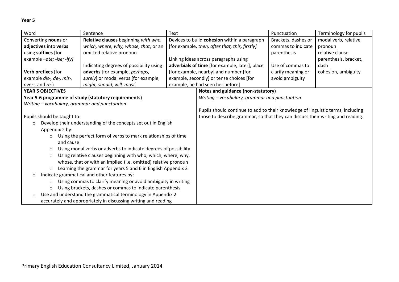| Word<br>Sentence<br><b>Text</b>                                          |                                                                 |                                              | Punctuation                                                                     | Terminology for pupils |                       |
|--------------------------------------------------------------------------|-----------------------------------------------------------------|----------------------------------------------|---------------------------------------------------------------------------------|------------------------|-----------------------|
| Converting nouns or                                                      | Relative clauses beginning with who,                            | Devices to build cohesion within a paragraph |                                                                                 | Brackets, dashes or    | modal verb, relative  |
| adjectives into verbs                                                    | which, where, why, whose, that, or an                           |                                              | [for example, then, after that, this, firstly]                                  | commas to indicate     | pronoun               |
| using suffixes [for                                                      | omitted relative pronoun                                        |                                              |                                                                                 | parenthesis            | relative clause       |
| example -ate; -ise; -ify]                                                |                                                                 |                                              | Linking ideas across paragraphs using                                           |                        | parenthesis, bracket, |
|                                                                          | Indicating degrees of possibility using                         |                                              | adverbials of time [for example, later], place                                  | Use of commas to       | dash                  |
| Verb prefixes [for                                                       | adverbs [for example, perhaps,                                  |                                              | [for example, nearby] and number [for                                           | clarify meaning or     | cohesion, ambiguity   |
| example dis-, de-, mis-,                                                 | surely] or modal verbs [for example,                            |                                              | example, secondly] or tense choices [for                                        | avoid ambiguity        |                       |
| over-, and re-)                                                          | might, should, will, must]                                      |                                              | example, he had seen her before]                                                |                        |                       |
| <b>YEAR 5 OBJECTIVES</b>                                                 |                                                                 |                                              | Notes and guidance (non-statutory)                                              |                        |                       |
|                                                                          | Year 5-6 programme of study (statutory requirements)            |                                              | Writing - vocabulary, grammar and punctuation                                   |                        |                       |
| Writing - vocabulary, grammar and punctuation                            |                                                                 |                                              |                                                                                 |                        |                       |
|                                                                          |                                                                 |                                              | Pupils should continue to add to their knowledge of linguistic terms, including |                        |                       |
| Pupils should be taught to:                                              |                                                                 |                                              | those to describe grammar, so that they can discuss their writing and reading.  |                        |                       |
| $\circ$                                                                  | Develop their understanding of the concepts set out in English  |                                              |                                                                                 |                        |                       |
| Appendix 2 by:                                                           |                                                                 |                                              |                                                                                 |                        |                       |
| $\circ$                                                                  | Using the perfect form of verbs to mark relationships of time   |                                              |                                                                                 |                        |                       |
| and cause                                                                |                                                                 |                                              |                                                                                 |                        |                       |
| $\circ$                                                                  | Using modal verbs or adverbs to indicate degrees of possibility |                                              |                                                                                 |                        |                       |
| $\circ$                                                                  | Using relative clauses beginning with who, which, where, why,   |                                              |                                                                                 |                        |                       |
|                                                                          | whose, that or with an implied (i.e. omitted) relative pronoun  |                                              |                                                                                 |                        |                       |
| $\circ$                                                                  | Learning the grammar for years 5 and 6 in English Appendix 2    |                                              |                                                                                 |                        |                       |
| $\circ$                                                                  | Indicate grammatical and other features by:                     |                                              |                                                                                 |                        |                       |
| Using commas to clarify meaning or avoid ambiguity in writing<br>$\circ$ |                                                                 |                                              |                                                                                 |                        |                       |
| Using brackets, dashes or commas to indicate parenthesis<br>$\circ$      |                                                                 |                                              |                                                                                 |                        |                       |
| $\circ$                                                                  | Use and understand the grammatical terminology in Appendix 2    |                                              |                                                                                 |                        |                       |
|                                                                          | accurately and appropriately in discussing writing and reading  |                                              |                                                                                 |                        |                       |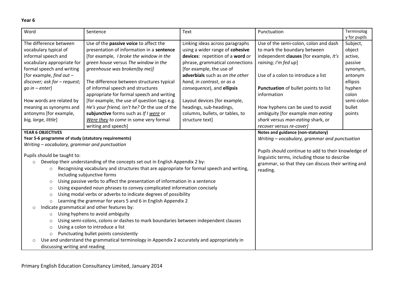#### **Year 6**

| Word                                                                                                    | Sentence                                                                                                               | <b>Text</b>                      | Punctuation                                         | Terminolog   |  |  |
|---------------------------------------------------------------------------------------------------------|------------------------------------------------------------------------------------------------------------------------|----------------------------------|-----------------------------------------------------|--------------|--|--|
| The difference between                                                                                  |                                                                                                                        |                                  |                                                     | y for pupils |  |  |
|                                                                                                         | Use of the passive voice to affect the<br>presentation of information in a sentence                                    | Linking ideas across paragraphs  | Use of the semi-colon, colon and dash               | Subject,     |  |  |
| vocabulary typical of                                                                                   |                                                                                                                        | using a wider range of cohesive  | to mark the boundary between                        | object       |  |  |
| informal speech and                                                                                     | [for example, I broke the window in the                                                                                | devices: repetition of a word or | independent clauses [for example, It's              | active,      |  |  |
| vocabulary appropriate for                                                                              | green house versus The window in the                                                                                   | phrase, grammatical connections  | raining; I'm fed up]                                | passive      |  |  |
| formal speech and writing                                                                               | greenhouse was broken(by me)]                                                                                          | [for example, the use of         |                                                     | synonym,     |  |  |
| [for example, find out $-$                                                                              |                                                                                                                        | adverbials such as on the other  | Use of a colon to introduce a list                  | antonym      |  |  |
| discover; ask for - request;                                                                            | The difference between structures typical                                                                              | hand, in contrast, or as a       |                                                     | ellipsis     |  |  |
| $qo$ in $-$ enter]                                                                                      | of informal speech and structures                                                                                      | consequence), and ellipsis       | Punctuation of bullet points to list                | hyphen       |  |  |
|                                                                                                         | appropriate for formal speech and writing                                                                              |                                  | information                                         | colon        |  |  |
| How words are related by                                                                                | [for example, the use of question tags e.g.                                                                            | Layout devices [for example,     |                                                     | semi-colon   |  |  |
| meaning as synonyms and                                                                                 | He's your friend, isn't he? Or the use of the                                                                          | headings, sub-headings,          | How hyphens can be used to avoid                    | bullet       |  |  |
| antonyms [for example,                                                                                  | subjunctive forms such as If I were or                                                                                 | columns, bullets, or tables, to  | ambiguity [for example man eating                   | points       |  |  |
| big, large, little]                                                                                     | Were they to come in some very formal                                                                                  | structure text]                  | shark versus man-eating shark, or                   |              |  |  |
|                                                                                                         | writing and speech]                                                                                                    |                                  | recover versus re-cover]                            |              |  |  |
| <b>YEAR 6 OBJECTIVES</b>                                                                                |                                                                                                                        |                                  | Notes and guidance (non-statutory)                  |              |  |  |
| Year 5-6 programme of study (statutory requirements)                                                    |                                                                                                                        |                                  | Writing - vocabulary, grammar and punctuation       |              |  |  |
| Writing - vocabulary, grammar and punctuation                                                           |                                                                                                                        |                                  |                                                     |              |  |  |
| Pupils should be taught to:                                                                             |                                                                                                                        |                                  | Pupils should continue to add to their knowledge of |              |  |  |
| $\circ$                                                                                                 | Develop their understanding of the concepts set out in English Appendix 2 by:                                          |                                  | linguistic terms, including those to describe       |              |  |  |
|                                                                                                         | Recognising vocabulary and structures that are appropriate for formal speech and writing,                              |                                  | grammar, so that they can discuss their writing and |              |  |  |
| $\circ$                                                                                                 | including subjunctive forms                                                                                            |                                  | reading.                                            |              |  |  |
|                                                                                                         | Using passive verbs to affect the presentation of information in a sentence                                            |                                  |                                                     |              |  |  |
| $\circ$                                                                                                 | Using expanded noun phrases to convey complicated information concisely                                                |                                  |                                                     |              |  |  |
| $\circ$                                                                                                 | Using modal verbs or adverbs to indicate degrees of possibility                                                        |                                  |                                                     |              |  |  |
| $\circ$                                                                                                 |                                                                                                                        |                                  |                                                     |              |  |  |
|                                                                                                         | Learning the grammar for years 5 and 6 in English Appendix 2<br>$\circ$<br>Indicate grammatical and other features by: |                                  |                                                     |              |  |  |
| $\circ$                                                                                                 | Using hyphens to avoid ambiguity                                                                                       |                                  |                                                     |              |  |  |
| $\circ$                                                                                                 |                                                                                                                        |                                  |                                                     |              |  |  |
| Using semi-colons, colons or dashes to mark boundaries between independent clauses<br>$\circ$           |                                                                                                                        |                                  |                                                     |              |  |  |
| Using a colon to introduce a list<br>$\circ$                                                            |                                                                                                                        |                                  |                                                     |              |  |  |
| Punctuating bullet points consistently<br>$\circ$                                                       |                                                                                                                        |                                  |                                                     |              |  |  |
| Use and understand the grammatical terminology in Appendix 2 accurately and appropriately in<br>$\circ$ |                                                                                                                        |                                  |                                                     |              |  |  |
| discussing writing and reading                                                                          |                                                                                                                        |                                  |                                                     |              |  |  |